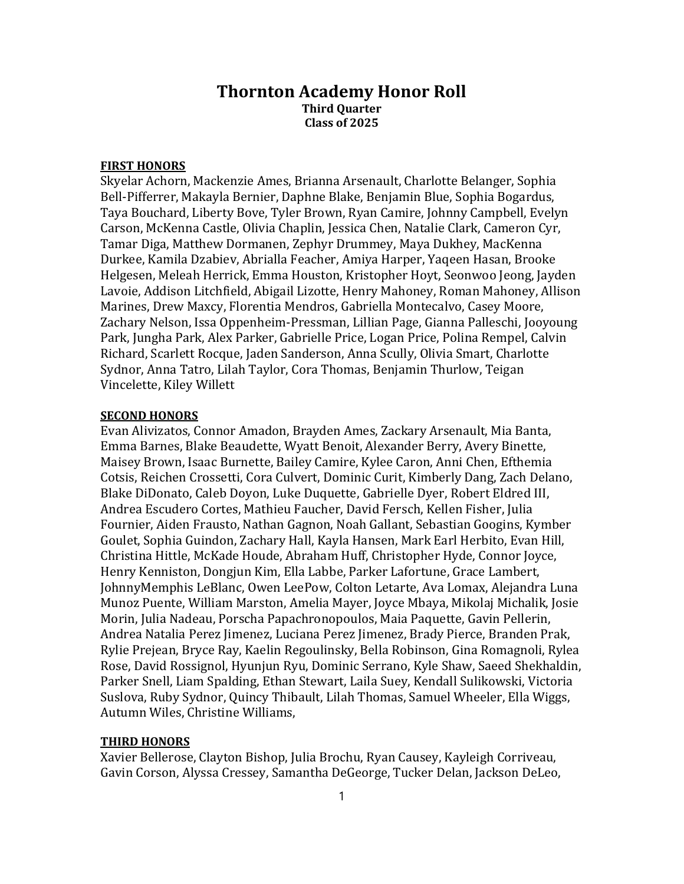## Thornton Academy Honor Roll Third Quarter Class of 2025

## FIRST HONORS

Skyelar Achorn, Mackenzie Ames, Brianna Arsenault, Charlotte Belanger, Sophia Bell-Pifferrer, Makayla Bernier, Daphne Blake, Benjamin Blue, Sophia Bogardus, Taya Bouchard, Liberty Bove, Tyler Brown, Ryan Camire, Johnny Campbell, Evelyn Carson, McKenna Castle, Olivia Chaplin, Jessica Chen, Natalie Clark, Cameron Cyr, Tamar Diga, Matthew Dormanen, Zephyr Drummey, Maya Dukhey, MacKenna Durkee, Kamila Dzabiev, Abrialla Feacher, Amiya Harper, Yaqeen Hasan, Brooke Helgesen, Meleah Herrick, Emma Houston, Kristopher Hoyt, Seonwoo Jeong, Jayden Lavoie, Addison Litchfield, Abigail Lizotte, Henry Mahoney, Roman Mahoney, Allison Marines, Drew Maxcy, Florentia Mendros, Gabriella Montecalvo, Casey Moore, Zachary Nelson, Issa Oppenheim-Pressman, Lillian Page, Gianna Palleschi, Jooyoung Park, Jungha Park, Alex Parker, Gabrielle Price, Logan Price, Polina Rempel, Calvin Richard, Scarlett Rocque, Jaden Sanderson, Anna Scully, Olivia Smart, Charlotte Sydnor, Anna Tatro, Lilah Taylor, Cora Thomas, Benjamin Thurlow, Teigan Vincelette, Kiley Willett

## SECOND HONORS

Evan Alivizatos, Connor Amadon, Brayden Ames, Zackary Arsenault, Mia Banta, Emma Barnes, Blake Beaudette, Wyatt Benoit, Alexander Berry, Avery Binette, Maisey Brown, Isaac Burnette, Bailey Camire, Kylee Caron, Anni Chen, Efthemia Cotsis, Reichen Crossetti, Cora Culvert, Dominic Curit, Kimberly Dang, Zach Delano, Blake DiDonato, Caleb Doyon, Luke Duquette, Gabrielle Dyer, Robert Eldred III, Andrea Escudero Cortes, Mathieu Faucher, David Fersch, Kellen Fisher, Julia Fournier, Aiden Frausto, Nathan Gagnon, Noah Gallant, Sebastian Googins, Kymber Goulet, Sophia Guindon, Zachary Hall, Kayla Hansen, Mark Earl Herbito, Evan Hill, Christina Hittle, McKade Houde, Abraham Huff, Christopher Hyde, Connor Joyce, Henry Kenniston, Dongjun Kim, Ella Labbe, Parker Lafortune, Grace Lambert, JohnnyMemphis LeBlanc, Owen LeePow, Colton Letarte, Ava Lomax, Alejandra Luna Munoz Puente, William Marston, Amelia Mayer, Joyce Mbaya, Mikolaj Michalik, Josie Morin, Julia Nadeau, Porscha Papachronopoulos, Maia Paquette, Gavin Pellerin, Andrea Natalia Perez Jimenez, Luciana Perez Jimenez, Brady Pierce, Branden Prak, Rylie Prejean, Bryce Ray, Kaelin Regoulinsky, Bella Robinson, Gina Romagnoli, Rylea Rose, David Rossignol, Hyunjun Ryu, Dominic Serrano, Kyle Shaw, Saeed Shekhaldin, Parker Snell, Liam Spalding, Ethan Stewart, Laila Suey, Kendall Sulikowski, Victoria Suslova, Ruby Sydnor, Quincy Thibault, Lilah Thomas, Samuel Wheeler, Ella Wiggs, Autumn Wiles, Christine Williams,

## THIRD HONORS

Xavier Bellerose, Clayton Bishop, Julia Brochu, Ryan Causey, Kayleigh Corriveau, Gavin Corson, Alyssa Cressey, Samantha DeGeorge, Tucker Delan, Jackson DeLeo,